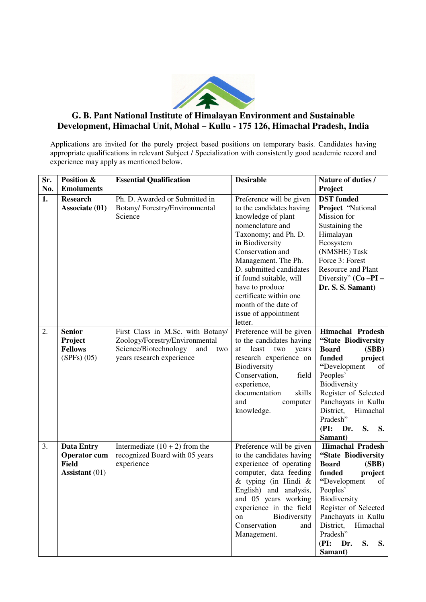

## **G. B. Pant National Institute of Himalayan Environment and Sustainable Development, Himachal Unit, Mohal – Kullu - 175 126, Himachal Pradesh, India**

Applications are invited for the purely project based positions on temporary basis. Candidates having appropriate qualifications in relevant Subject / Specialization with consistently good academic record and experience may apply as mentioned below.

| Sr.<br>No. | Position &<br><b>Emoluments</b>                                            | <b>Essential Qualification</b>                                                                                                          | <b>Desirable</b>                                                                                                                                                                                                                                                                                                                                   | Nature of duties /<br>Project                                                                                                                                                                                                                                            |
|------------|----------------------------------------------------------------------------|-----------------------------------------------------------------------------------------------------------------------------------------|----------------------------------------------------------------------------------------------------------------------------------------------------------------------------------------------------------------------------------------------------------------------------------------------------------------------------------------------------|--------------------------------------------------------------------------------------------------------------------------------------------------------------------------------------------------------------------------------------------------------------------------|
| 1.         | <b>Research</b><br>Associate (01)                                          | Ph. D. Awarded or Submitted in<br>Botany/Forestry/Environmental<br>Science                                                              | Preference will be given<br>to the candidates having<br>knowledge of plant<br>nomenclature and<br>Taxonomy; and Ph. D.<br>in Biodiversity<br>Conservation and<br>Management. The Ph.<br>D. submitted candidates<br>if found suitable, will<br>have to produce<br>certificate within one<br>month of the date of<br>issue of appointment<br>letter. | <b>DST</b> funded<br>Project "National<br>Mission for<br>Sustaining the<br>Himalayan<br>Ecosystem<br>(NMSHE) Task<br>Force 3: Forest<br><b>Resource and Plant</b><br>Diversity" $(Co - PI -$<br>Dr. S. S. Samant)                                                        |
| 2.         | <b>Senior</b><br>Project<br><b>Fellows</b><br>$(SPFs)$ $(05)$              | First Class in M.Sc. with Botany/<br>Zoology/Forestry/Environmental<br>Science/Biotechnology<br>and<br>two<br>years research experience | Preference will be given<br>to the candidates having<br>least<br>two<br>years<br>at<br>research experience on<br>Biodiversity<br>Conservation,<br>field<br>experience,<br>documentation<br>skills<br>and<br>computer<br>knowledge.                                                                                                                 | <b>Himachal Pradesh</b><br>"State Biodiversity<br><b>Board</b><br>(SBB)<br>funded<br>project<br>"Development<br>of<br>Peoples'<br>Biodiversity<br>Register of Selected<br>Panchayats in Kullu<br>District,<br>Himachal<br>Pradesh"<br>(PI:<br>Dr.<br>S.<br>S.<br>Samant) |
| 3.         | <b>Data Entry</b><br><b>Operator</b> cum<br><b>Field</b><br>Assistant (01) | Intermediate $(10 + 2)$ from the<br>recognized Board with 05 years<br>experience                                                        | Preference will be given<br>to the candidates having<br>experience of operating<br>computer, data feeding<br>$&$ typing (in Hindi $&$<br>English) and analysis,<br>and 05 years working<br>experience in the field<br>Biodiversity<br>on<br>Conservation<br>and<br>Management.                                                                     | <b>Himachal Pradesh</b><br>"State Biodiversity<br><b>Board</b><br>(SBB)<br>funded<br>project<br>"Development<br>of<br>Peoples'<br>Biodiversity<br>Register of Selected<br>Panchayats in Kullu<br>District, Himachal<br>Pradesh"<br>S.<br>(PI:<br>Dr.<br>S.<br>Samant)    |